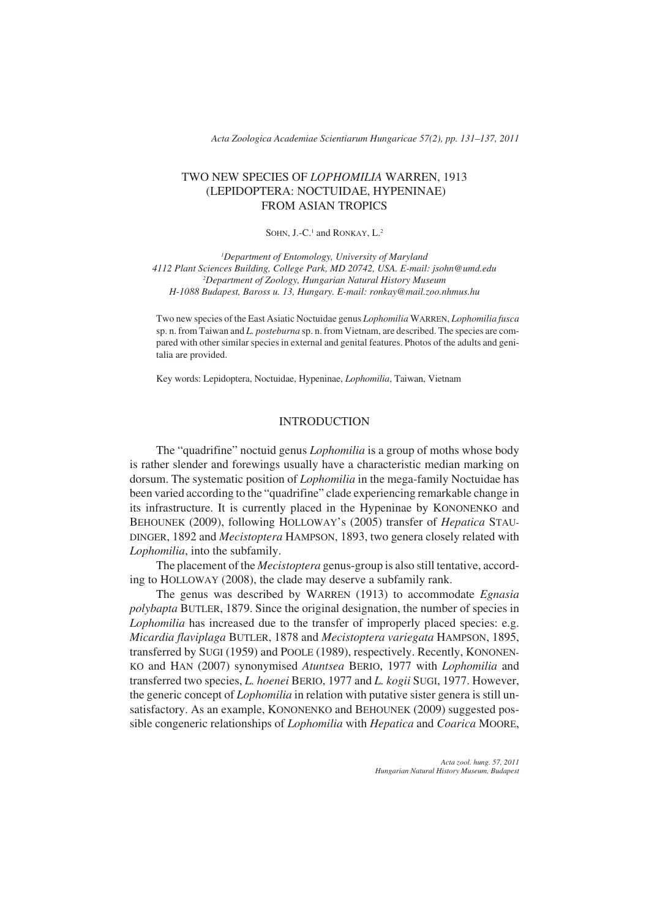*Acta Zoologica Academiae Scientiarum Hungaricae 57(2), pp. 131–137, 2011*

## TWO NEW SPECIES OF *LOPHOMILIA* WARREN, 1913 (LEPIDOPTERA: NOCTUIDAE, HYPENINAE) FROM ASIAN TROPICS

### SOHN, J.-C.<sup>1</sup> and RONKAY, L.<sup>2</sup>

*1 Department of Entomology, University of Maryland 4112 Plant Sciences Building, College Park, MD 20742, USA. E-mail: jsohn@umd.edu 2 Department of Zoology, Hungarian Natural History Museum H-1088 Budapest, Baross u. 13, Hungary. E-mail: ronkay@mail.zoo.nhmus.hu*

Two new species of the East Asiatic Noctuidae genus *Lophomilia* WARREN, *Lophomilia fusca* sp. n. from Taiwan and *L. posteburna* sp. n. from Vietnam, are described. The species are compared with other similar species in external and genital features. Photos of the adults and genitalia are provided.

Key words: Lepidoptera, Noctuidae, Hypeninae, *Lophomilia*, Taiwan, Vietnam

## INTRODUCTION

The "quadrifine" noctuid genus *Lophomilia* is a group of moths whose body is rather slender and forewings usually have a characteristic median marking on dorsum. The systematic position of *Lophomilia* in the mega-family Noctuidae has been varied according to the "quadrifine" clade experiencing remarkable change in its infrastructure. It is currently placed in the Hypeninae by KONONENKO and BEHOUNEK (2009), following HOLLOWAY's (2005) transfer of *Hepatica* STAU-DINGER, 1892 and *Mecistoptera* HAMPSON, 1893, two genera closely related with *Lophomilia*, into the subfamily.

The placement of the *Mecistoptera* genus-group is also still tentative, according to HOLLOWAY (2008), the clade may deserve a subfamily rank.

The genus was described by WARREN (1913) to accommodate *Egnasia polybapta* BUTLER, 1879. Since the original designation, the number of species in *Lophomilia* has increased due to the transfer of improperly placed species: e.g. *Micardia flaviplaga* BUTLER, 1878 and *Mecistoptera variegata* HAMPSON, 1895, transferred by SUGI (1959) and POOLE (1989), respectively. Recently, KONONEN-KO and HAN (2007) synonymised *Atuntsea* BERIO, 1977 with *Lophomilia* and transferred two species, *L. hoenei* BERIO, 1977 and *L. kogii* SUGI, 1977. However, the generic concept of *Lophomilia* in relation with putative sister genera is still unsatisfactory. As an example, KONONENKO and BEHOUNEK (2009) suggested possible congeneric relationships of *Lophomilia* with *Hepatica* and *Coarica* MOORE,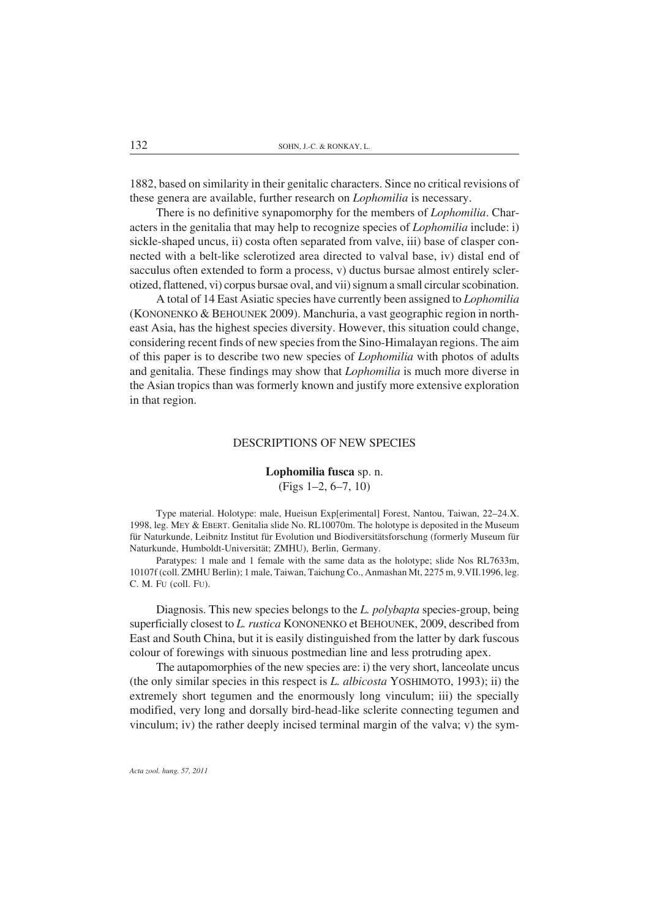1882, based on similarity in their genitalic characters. Since no critical revisions of these genera are available, further research on *Lophomilia* is necessary.

There is no definitive synapomorphy for the members of *Lophomilia*. Characters in the genitalia that may help to recognize species of *Lophomilia* include: i) sickle-shaped uncus, ii) costa often separated from valve, iii) base of clasper connected with a belt-like sclerotized area directed to valval base, iv) distal end of sacculus often extended to form a process, v) ductus bursae almost entirely sclerotized, flattened, vi) corpus bursae oval, and vii) signum a small circular scobination.

A total of 14 East Asiatic species have currently been assigned to *Lophomilia* (KONONENKO & BEHOUNEK 2009). Manchuria, a vast geographic region in northeast Asia, has the highest species diversity. However, this situation could change, considering recent finds of new species from the Sino-Himalayan regions. The aim of this paper is to describe two new species of *Lophomilia* with photos of adults and genitalia. These findings may show that *Lophomilia* is much more diverse in the Asian tropics than was formerly known and justify more extensive exploration in that region.

#### DESCRIPTIONS OF NEW SPECIES

# Lophomilia fusca sp. n. (Figs 1–2, 6–7, 10)

Type material. Holotype: male, Hueisun Exp[erimental] Forest, Nantou, Taiwan, 22–24.X. 1998, leg. MEY & EBERT. Genitalia slide No. RL10070m. The holotype is deposited in the Museum für Naturkunde, Leibnitz Institut für Evolution und Biodiversitätsforschung (formerly Museum für Naturkunde, Humboldt-Universität; ZMHU), Berlin, Germany.

Paratypes: 1 male and 1 female with the same data as the holotype; slide Nos RL7633m, 10107f (coll. ZMHU Berlin); 1 male, Taiwan, Taichung Co., Anmashan Mt, 2275 m, 9.VII.1996, leg. C. M. FU (coll. FU).

Diagnosis. This new species belongs to the *L. polybapta* species-group, being superficially closest to *L. rustica* KONONENKO et BEHOUNEK, 2009, described from East and South China, but it is easily distinguished from the latter by dark fuscous colour of forewings with sinuous postmedian line and less protruding apex.

The autapomorphies of the new species are: i) the very short, lanceolate uncus (the only similar species in this respect is *L. albicosta* YOSHIMOTO, 1993); ii) the extremely short tegumen and the enormously long vinculum; iii) the specially modified, very long and dorsally bird-head-like sclerite connecting tegumen and vinculum; iv) the rather deeply incised terminal margin of the valva; v) the sym-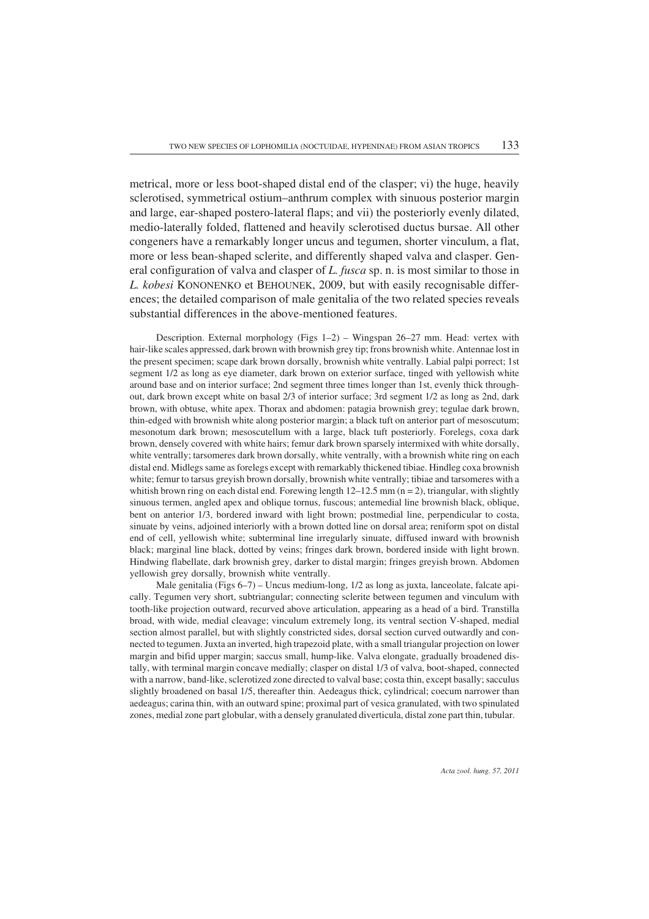metrical, more or less boot-shaped distal end of the clasper; vi) the huge, heavily sclerotised, symmetrical ostium–anthrum complex with sinuous posterior margin and large, ear-shaped postero-lateral flaps; and vii) the posteriorly evenly dilated, medio-laterally folded, flattened and heavily sclerotised ductus bursae. All other congeners have a remarkably longer uncus and tegumen, shorter vinculum, a flat, more or less bean-shaped sclerite, and differently shaped valva and clasper. General configuration of valva and clasper of *L. fusca* sp. n. is most similar to those in *L. kobesi* KONONENKO et BEHOUNEK, 2009, but with easily recognisable differences; the detailed comparison of male genitalia of the two related species reveals substantial differences in the above-mentioned features.

Description. External morphology (Figs 1–2) – Wingspan 26–27 mm. Head: vertex with hair-like scales appressed, dark brown with brownish grey tip; frons brownish white. Antennae lost in the present specimen; scape dark brown dorsally, brownish white ventrally. Labial palpi porrect; 1st segment 1/2 as long as eye diameter, dark brown on exterior surface, tinged with yellowish white around base and on interior surface; 2nd segment three times longer than 1st, evenly thick throughout, dark brown except white on basal 2/3 of interior surface; 3rd segment 1/2 as long as 2nd, dark brown, with obtuse, white apex. Thorax and abdomen: patagia brownish grey; tegulae dark brown, thin-edged with brownish white along posterior margin; a black tuft on anterior part of mesoscutum; mesonotum dark brown; mesoscutellum with a large, black tuft posteriorly. Forelegs, coxa dark brown, densely covered with white hairs; femur dark brown sparsely intermixed with white dorsally, white ventrally; tarsomeres dark brown dorsally, white ventrally, with a brownish white ring on each distal end. Midlegs same as forelegs except with remarkably thickened tibiae. Hindleg coxa brownish white; femur to tarsus greyish brown dorsally, brownish white ventrally; tibiae and tarsomeres with a whitish brown ring on each distal end. Forewing length  $12-12.5$  mm ( $n = 2$ ), triangular, with slightly sinuous termen, angled apex and oblique tornus, fuscous; antemedial line brownish black, oblique, bent on anterior 1/3, bordered inward with light brown; postmedial line, perpendicular to costa, sinuate by veins, adjoined interiorly with a brown dotted line on dorsal area; reniform spot on distal end of cell, yellowish white; subterminal line irregularly sinuate, diffused inward with brownish black; marginal line black, dotted by veins; fringes dark brown, bordered inside with light brown. Hindwing flabellate, dark brownish grey, darker to distal margin; fringes greyish brown. Abdomen yellowish grey dorsally, brownish white ventrally.

Male genitalia (Figs 6–7) – Uncus medium-long, 1/2 as long as juxta, lanceolate, falcate apically. Tegumen very short, subtriangular; connecting sclerite between tegumen and vinculum with tooth-like projection outward, recurved above articulation, appearing as a head of a bird. Transtilla broad, with wide, medial cleavage; vinculum extremely long, its ventral section V-shaped, medial section almost parallel, but with slightly constricted sides, dorsal section curved outwardly and connected to tegumen. Juxta an inverted, high trapezoid plate, with a small triangular projection on lower margin and bifid upper margin; saccus small, hump-like. Valva elongate, gradually broadened distally, with terminal margin concave medially; clasper on distal 1/3 of valva, boot-shaped, connected with a narrow, band-like, sclerotized zone directed to valval base; costa thin, except basally; sacculus slightly broadened on basal 1/5, thereafter thin. Aedeagus thick, cylindrical; coecum narrower than aedeagus; carina thin, with an outward spine; proximal part of vesica granulated, with two spinulated zones, medial zone part globular, with a densely granulated diverticula, distal zone part thin, tubular.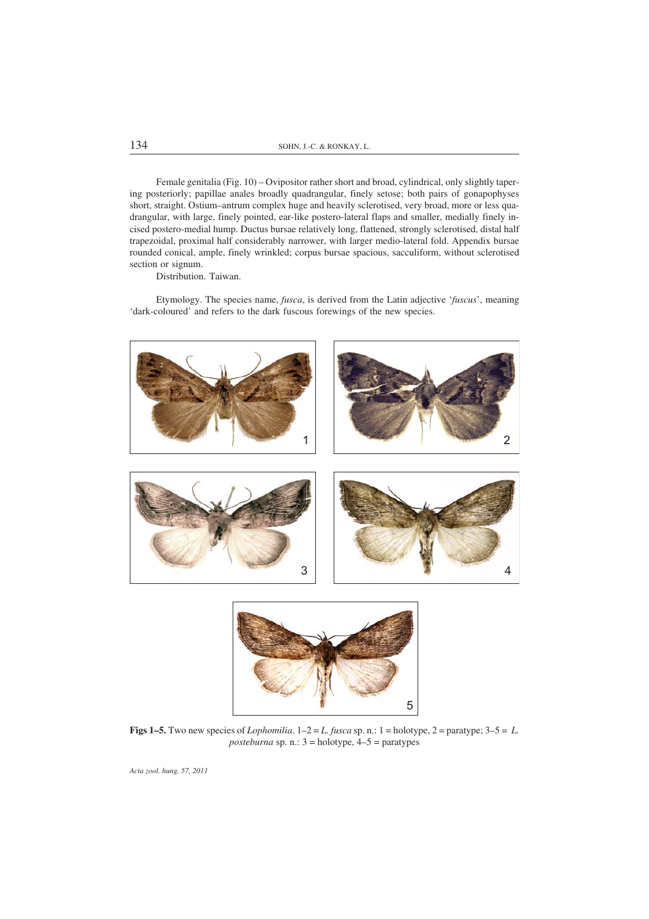Female genitalia (Fig. 10) – Ovipositor rather short and broad, cylindrical, only slightly tapering posteriorly; papillae anales broadly quadrangular, finely setose; both pairs of gonapophyses short, straight. Ostium–antrum complex huge and heavily sclerotised, very broad, more or less quadrangular, with large, finely pointed, ear-like postero-lateral flaps and smaller, medially finely incised postero-medial hump. Ductus bursae relatively long, flattened, strongly sclerotised, distal half trapezoidal, proximal half considerably narrower, with larger medio-lateral fold. Appendix bursae rounded conical, ample, finely wrinkled; corpus bursae spacious, sacculiform, without sclerotised section or signum.

Distribution. Taiwan.

Etymology. The species name, *fusca*, is derived from the Latin adjective '*fuscus*', meaning 'dark-coloured' and refers to the dark fuscous forewings of the new species.





**Figs 1–5.** Two new species of *Lophomilia*.  $1-2=L$ . *fusca* sp. n.: 1 = holotype, 2 = paratype;  $3-5=L$ . *posteburna* sp. n.:  $3 =$  holotype,  $4-5 =$  paratypes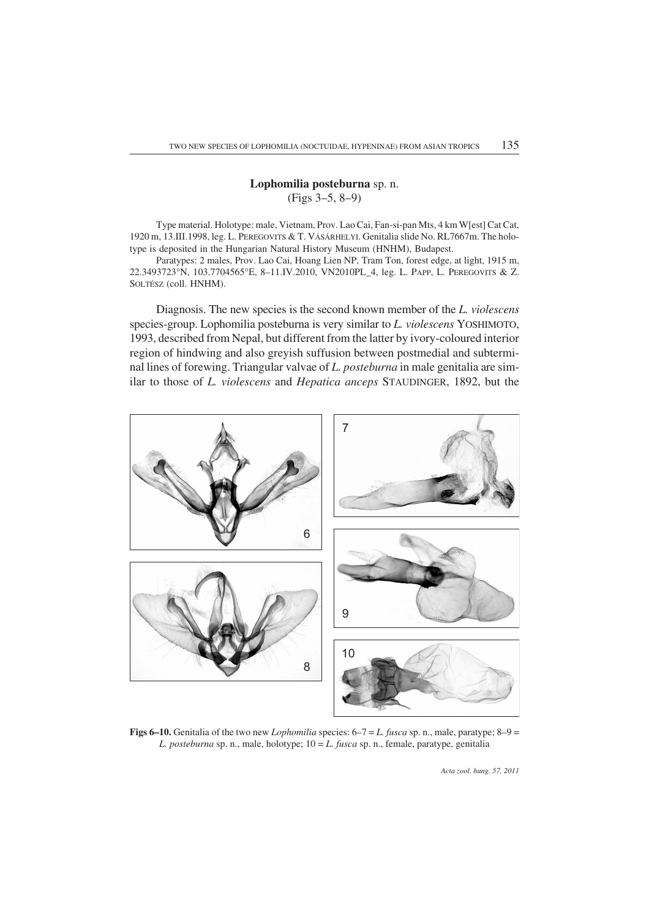# Lophomilia posteburna sp. n. (Figs 3–5, 8–9)

Type material. Holotype: male, Vietnam, Prov. Lao Cai, Fan-si-pan Mts, 4 km W[est] Cat Cat, 1920 m, 13.III.1998, leg. L. PEREGOVITS & T. VÁSÁRHELYI. Genitalia slide No. RL7667m. The holotype is deposited in the Hungarian Natural History Museum (HNHM), Budapest.

Paratypes: 2 males, Prov. Lao Cai, Hoang Lien NP, Tram Ton, forest edge, at light, 1915 m, 22.3493723°N, 103.7704565°E, 8–11.IV.2010, VN2010PL\_4, leg. L. PAPP, L. PEREGOVITS & Z. SOLTÉSZ (coll. HNHM).

Diagnosis. The new species is the second known member of the *L. violescens* species-group. Lophomilia posteburna is very similar to *L. violescens* YOSHIMOTO, 1993, described from Nepal, but different from the latter by ivory-coloured interior region of hindwing and also greyish suffusion between postmedial and subterminal lines of forewing. Triangular valvae of *L. posteburna* in male genitalia are similar to those of *L. violescens* and *Hepatica anceps* STAUDINGER, 1892, but the



Figs 6–10. Genitalia of the two new *Lophomilia* species: 6–7 = *L. fusca* sp. n., male, paratype; 8–9 = *L. posteburna* sp. n., male, holotype; 10 = *L. fusca* sp. n., female, paratype, genitalia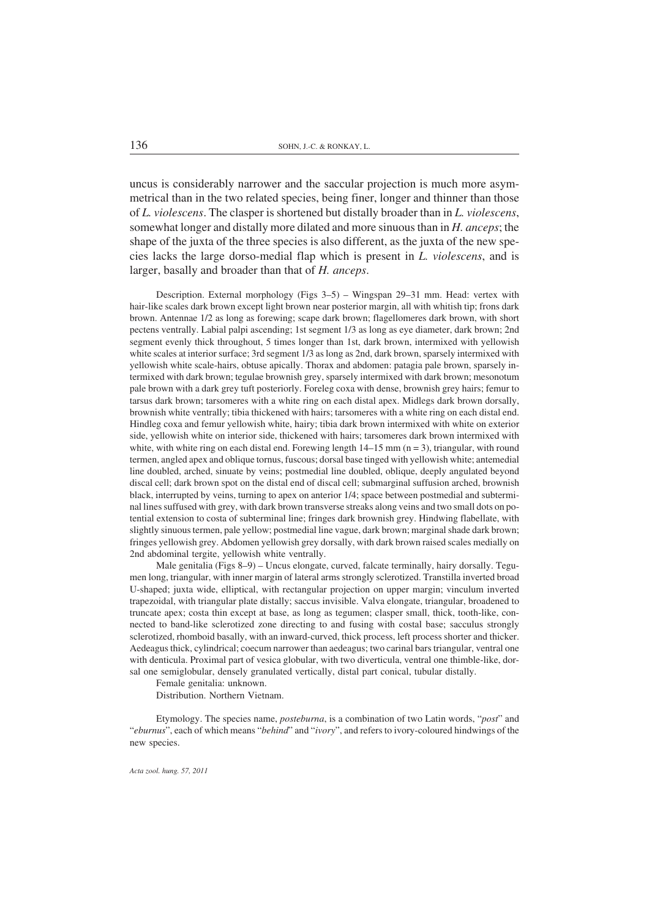uncus is considerably narrower and the saccular projection is much more asymmetrical than in the two related species, being finer, longer and thinner than those of *L. violescens*. The clasper is shortened but distally broader than in *L. violescens*, somewhat longer and distally more dilated and more sinuous than in *H. anceps*; the shape of the juxta of the three species is also different, as the juxta of the new species lacks the large dorso-medial flap which is present in *L. violescens*, and is larger, basally and broader than that of *H. anceps*.

Description. External morphology (Figs 3–5) – Wingspan 29–31 mm. Head: vertex with hair-like scales dark brown except light brown near posterior margin, all with whitish tip; frons dark brown. Antennae 1/2 as long as forewing; scape dark brown; flagellomeres dark brown, with short pectens ventrally. Labial palpi ascending; 1st segment 1/3 as long as eye diameter, dark brown; 2nd segment evenly thick throughout, 5 times longer than 1st, dark brown, intermixed with yellowish white scales at interior surface; 3rd segment 1/3 as long as 2nd, dark brown, sparsely intermixed with yellowish white scale-hairs, obtuse apically. Thorax and abdomen: patagia pale brown, sparsely intermixed with dark brown; tegulae brownish grey, sparsely intermixed with dark brown; mesonotum pale brown with a dark grey tuft posteriorly. Foreleg coxa with dense, brownish grey hairs; femur to tarsus dark brown; tarsomeres with a white ring on each distal apex. Midlegs dark brown dorsally, brownish white ventrally; tibia thickened with hairs; tarsomeres with a white ring on each distal end. Hindleg coxa and femur yellowish white, hairy; tibia dark brown intermixed with white on exterior side, yellowish white on interior side, thickened with hairs; tarsomeres dark brown intermixed with white, with white ring on each distal end. Forewing length  $14-15$  mm ( $n = 3$ ), triangular, with round termen, angled apex and oblique tornus, fuscous; dorsal base tinged with yellowish white; antemedial line doubled, arched, sinuate by veins; postmedial line doubled, oblique, deeply angulated beyond discal cell; dark brown spot on the distal end of discal cell; submarginal suffusion arched, brownish black, interrupted by veins, turning to apex on anterior 1/4; space between postmedial and subterminal lines suffused with grey, with dark brown transverse streaks along veins and two small dots on potential extension to costa of subterminal line; fringes dark brownish grey. Hindwing flabellate, with slightly sinuous termen, pale yellow; postmedial line vague, dark brown; marginal shade dark brown; fringes yellowish grey. Abdomen yellowish grey dorsally, with dark brown raised scales medially on 2nd abdominal tergite, yellowish white ventrally.

Male genitalia (Figs 8–9) – Uncus elongate, curved, falcate terminally, hairy dorsally. Tegumen long, triangular, with inner margin of lateral arms strongly sclerotized. Transtilla inverted broad U-shaped; juxta wide, elliptical, with rectangular projection on upper margin; vinculum inverted trapezoidal, with triangular plate distally; saccus invisible. Valva elongate, triangular, broadened to truncate apex; costa thin except at base, as long as tegumen; clasper small, thick, tooth-like, connected to band-like sclerotized zone directing to and fusing with costal base; sacculus strongly sclerotized, rhomboid basally, with an inward-curved, thick process, left process shorter and thicker. Aedeagus thick, cylindrical; coecum narrower than aedeagus; two carinal bars triangular, ventral one with denticula. Proximal part of vesica globular, with two diverticula, ventral one thimble-like, dorsal one semiglobular, densely granulated vertically, distal part conical, tubular distally.

Female genitalia: unknown.

Distribution. Northern Vietnam.

Etymology. The species name, *posteburna*, is a combination of two Latin words, "*post*" and "*eburnus*", each of which means "*behind*" and "*ivory*", and refers to ivory-coloured hindwings of the new species.